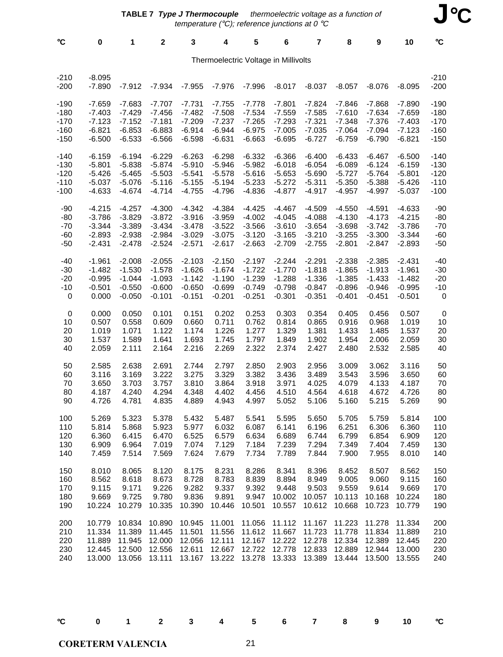| °C                                   | 0                    | 1        | $\mathbf{2}$ | 3        | 4        | 5        | 6        | 7        | 8        | 9        | 10       | °C               |
|--------------------------------------|----------------------|----------|--------------|----------|----------|----------|----------|----------|----------|----------|----------|------------------|
| Thermoelectric Voltage in Millivolts |                      |          |              |          |          |          |          |          |          |          |          |                  |
| $-210$<br>$-200$                     | $-8.095$<br>$-7.890$ | $-7.912$ | $-7.934$     | $-7.955$ | $-7.976$ | $-7.996$ | $-8.017$ | $-8.037$ | $-8.057$ | $-8.076$ | $-8.095$ | $-210$<br>$-200$ |
| $-190$                               | $-7.659$             | $-7.683$ | $-7.707$     | $-7.731$ | $-7.755$ | $-7.778$ | $-7.801$ | $-7.824$ | $-7.846$ | $-7.868$ | $-7.890$ | $-190$           |
| $-180$                               | $-7.403$             | $-7.429$ | $-7.456$     | $-7.482$ | $-7.508$ | $-7.534$ | $-7.559$ | $-7.585$ | $-7.610$ | $-7.634$ | $-7.659$ | $-180$           |
| $-170$                               | $-7.123$             | $-7.152$ | $-7.181$     | $-7.209$ | $-7.237$ | $-7.265$ | $-7.293$ | $-7.321$ | $-7.348$ | $-7.376$ | $-7.403$ | $-170$           |
| $-160$                               | $-6.821$             | $-6.853$ | $-6.883$     | $-6.914$ | $-6.944$ | $-6.975$ | $-7.005$ | $-7.035$ | $-7.064$ | $-7.094$ | $-7.123$ | $-160$           |
| $-150$                               | $-6.500$             | $-6.533$ | $-6.566$     | $-6.598$ | $-6.631$ | $-6.663$ | $-6.695$ | $-6.727$ | $-6.759$ | $-6.790$ | $-6.821$ | $-150$           |
| $-140$                               | $-6.159$             | $-6.194$ | $-6.229$     | $-6.263$ | $-6.298$ | $-6.332$ | $-6.366$ | $-6.400$ | $-6.433$ | $-6.467$ | $-6.500$ | $-140$           |
| $-130$                               | $-5.801$             | $-5.838$ | $-5.874$     | $-5.910$ | $-5.946$ | $-5.982$ | $-6.018$ | $-6.054$ | $-6.089$ | $-6.124$ | $-6.159$ | $-130$           |
| $-120$                               | $-5.426$             | $-5.465$ | $-5.503$     | $-5.541$ | $-5.578$ | $-5.616$ | $-5.653$ | $-5.690$ | $-5.727$ | $-5.764$ | $-5.801$ | $-120$           |
| $-110$                               | $-5.037$             | $-5.076$ | $-5.116$     | $-5.155$ | $-5.194$ | $-5.233$ | $-5.272$ | $-5.311$ | $-5.350$ | $-5.388$ | $-5.426$ | $-110$           |
| $-100$                               | $-4.633$             | $-4.674$ | $-4.714$     | $-4.755$ | $-4.796$ | $-4.836$ | $-4.877$ | $-4.917$ | $-4.957$ | $-4.997$ | $-5.037$ | $-100$           |
| $-90$                                | $-4.215$             | $-4.257$ | $-4.300$     | $-4.342$ | $-4.384$ | $-4.425$ | $-4.467$ | $-4.509$ | $-4.550$ | $-4.591$ | $-4.633$ | $-90$            |
| $-80$                                | $-3.786$             | $-3.829$ | $-3.872$     | $-3.916$ | $-3.959$ | $-4.002$ | $-4.045$ | $-4.088$ | $-4.130$ | $-4.173$ | $-4.215$ | $-80$            |
| $-70$                                | $-3.344$             | $-3.389$ | $-3.434$     | $-3.478$ | $-3.522$ | $-3.566$ | $-3.610$ | $-3.654$ | $-3.698$ | $-3.742$ | $-3.786$ | $-70$            |
| $-60$                                | $-2.893$             | $-2.938$ | $-2.984$     | $-3.029$ | $-3.075$ | $-3.120$ | $-3.165$ | $-3.210$ | $-3.255$ | $-3.300$ | $-3.344$ | $-60$            |
| $-50$                                | $-2.431$             | $-2.478$ | $-2.524$     | $-2.571$ | $-2.617$ | $-2.663$ | $-2.709$ | $-2.755$ | $-2.801$ | $-2.847$ | $-2.893$ | $-50$            |
| $-40$                                | $-1.961$             | $-2.008$ | $-2.055$     | $-2.103$ | $-2.150$ | $-2.197$ | $-2.244$ | $-2.291$ | $-2.338$ | $-2.385$ | $-2.431$ | $-40$            |
| $-30$                                | $-1.482$             | $-1.530$ | $-1.578$     | $-1.626$ | $-1.674$ | $-1.722$ | $-1.770$ | $-1.818$ | $-1.865$ | $-1.913$ | $-1.961$ | $-30$            |
| $-20$                                | $-0.995$             | $-1.044$ | $-1.093$     | $-1.142$ | $-1.190$ | $-1.239$ | $-1.288$ | $-1.336$ | $-1.385$ | $-1.433$ | $-1.482$ | $-20$            |
| $-10$                                | $-0.501$             | $-0.550$ | $-0.600$     | $-0.650$ | $-0.699$ | $-0.749$ | $-0.798$ | $-0.847$ | $-0.896$ | $-0.946$ | $-0.995$ | $-10$            |
| 0                                    | 0.000                | $-0.050$ | $-0.101$     | $-0.151$ | $-0.201$ | $-0.251$ | $-0.301$ | $-0.351$ | $-0.401$ | $-0.451$ | $-0.501$ | 0                |
| $\pmb{0}$                            | 0.000                | 0.050    | 0.101        | 0.151    | 0.202    | 0.253    | 0.303    | 0.354    | 0.405    | 0.456    | 0.507    | $\pmb{0}$        |
| 10                                   | 0.507                | 0.558    | 0.609        | 0.660    | 0.711    | 0.762    | 0.814    | 0.865    | 0.916    | 0.968    | 1.019    | 10               |
| 20                                   | 1.019                | 1.071    | 1.122        | 1.174    | 1.226    | 1.277    | 1.329    | 1.381    | 1.433    | 1.485    | 1.537    | 20               |
| 30                                   | 1.537                | 1.589    | 1.641        | 1.693    | 1.745    | 1.797    | 1.849    | 1.902    | 1.954    | 2.006    | 2.059    | 30               |
| 40                                   | 2.059                | 2.111    | 2.164        | 2.216    | 2.269    | 2.322    | 2.374    | 2.427    | 2.480    | 2.532    | 2.585    | 40               |
| 50                                   | 2.585                | 2.638    | 2.691        | 2.744    | 2.797    | 2.850    | 2.903    | 2.956    | 3.009    | 3.062    | 3.116    | 50               |
| 60                                   | 3.116                | 3.169    | 3.222        | 3.275    | 3.329    | 3.382    | 3.436    | 3.489    | 3.543    | 3.596    | 3.650    | 60               |
| 70                                   | 3.650                | 3.703    | 3.757        | 3.810    | 3.864    | 3.918    | 3.971    | 4.025    | 4.079    | 4.133    | 4.187    | 70               |
| 80                                   | 4.187                | 4.240    | 4.294        | 4.348    | 4.402    | 4.456    | 4.510    | 4.564    | 4.618    | 4.672    | 4.726    | 80               |
| 90                                   | 4.726                | 4.781    | 4.835        | 4.889    | 4.943    | 4.997    | 5.052    | 5.106    | 5.160    | 5.215    | 5.269    | 90               |
| 100                                  | 5.269                | 5.323    | 5.378        | 5.432    | 5.487    | 5.541    | 5.595    | 5.650    | 5.705    | 5.759    | 5.814    | 100              |
| 110                                  | 5.814                | 5.868    | 5.923        | 5.977    | 6.032    | 6.087    | 6.141    | 6.196    | 6.251    | 6.306    | 6.360    | 110              |
| 120                                  | 6.360                | 6.415    | 6.470        | 6.525    | 6.579    | 6.634    | 6.689    | 6.744    | 6.799    | 6.854    | 6.909    | 120              |
| 130                                  | 6.909                | 6.964    | 7.019        | 7.074    | 7.129    | 7.184    | 7.239    | 7.294    | 7.349    | 7.404    | 7.459    | 130              |
| 140                                  | 7.459                | 7.514    | 7.569        | 7.624    | 7.679    | 7.734    | 7.789    | 7.844    | 7.900    | 7.955    | 8.010    | 140              |
| 150                                  | 8.010                | 8.065    | 8.120        | 8.175    | 8.231    | 8.286    | 8.341    | 8.396    | 8.452    | 8.507    | 8.562    | 150              |
| 160                                  | 8.562                | 8.618    | 8.673        | 8.728    | 8.783    | 8.839    | 8.894    | 8.949    | 9.005    | 9.060    | 9.115    | 160              |
| 170                                  | 9.115                | 9.171    | 9.226        | 9.282    | 9.337    | 9.392    | 9.448    | 9.503    | 9.559    | 9.614    | 9.669    | 170              |
| 180                                  | 9.669                | 9.725    | 9.780        | 9.836    | 9.891    | 9.947    | 10.002   | 10.057   | 10.113   | 10.168   | 10.224   | 180              |
| 190                                  | 10.224               | 10.279   | 10.335       | 10.390   | 10.446   | 10.501   | 10.557   | 10.612   | 10.668   | 10.723   | 10.779   | 190              |
| 200                                  | 10.779               | 10.834   | 10.890       | 10.945   | 11.001   | 11.056   | 11.112   | 11.167   | 11.223   | 11.278   | 11.334   | 200              |
| 210                                  | 11.334               | 11.389   | 11.445       | 11.501   | 11.556   | 11.612   | 11.667   | 11.723   | 11.778   | 11.834   | 11.889   | 210              |
| 220                                  | 11.889               | 11.945   | 12.000       | 12.056   | 12.111   | 12.167   | 12.222   | 12.278   | 12.334   | 12.389   | 12.445   | 220              |
| 230                                  | 12.445               | 12.500   | 12.556       | 12.611   | 12.667   | 12.722   | 12.778   | 12.833   | 12.889   | 12.944   | 13.000   | 230              |
| 240                                  | 13.000               | 13.056   | 13.111       | 13.167   | 13.222   | 13.278   | 13.333   | 13.389   | 13.444   | 13.500   | 13.555   | 240              |

| ١      |  |  |
|--------|--|--|
| I      |  |  |
| ×<br>v |  |  |

°**C 0 1 2 3 4 5 6 7 8 9 10** °**C**

**CORETERM VALENCIA**

 $21$ 

**J**°**C**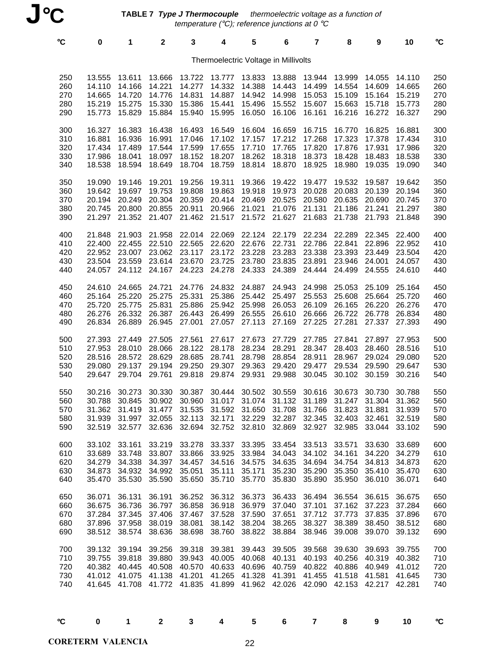**TABLE 7 Type J Thermocouple**  thermoelectric voltage as a function of temperature (°C); reference junctions at 0 °C

|                                      | $\rm ^{\circ}C$                 | 0                                              | 1                                                                   | $\mathbf 2$                                                  | 3                                                      | 4                                                                                                                                                                            | 5                                              | 6                                                     | $\overline{\mathbf{r}}$                        | 8                                               | 9                                                  | 10                                             | $\rm ^{\circ}C$                 |
|--------------------------------------|---------------------------------|------------------------------------------------|---------------------------------------------------------------------|--------------------------------------------------------------|--------------------------------------------------------|------------------------------------------------------------------------------------------------------------------------------------------------------------------------------|------------------------------------------------|-------------------------------------------------------|------------------------------------------------|-------------------------------------------------|----------------------------------------------------|------------------------------------------------|---------------------------------|
| Thermoelectric Voltage in Millivolts |                                 |                                                |                                                                     |                                                              |                                                        |                                                                                                                                                                              |                                                |                                                       |                                                |                                                 |                                                    |                                                |                                 |
|                                      | 250<br>260<br>270<br>280<br>290 | 13.555<br>14.110<br>14.665<br>15.219<br>15.773 | 13.611<br>14.166<br>14.720<br>15.275<br>15.829                      | 13.666<br>14.221<br>14.776<br>15.330<br>15.884               | 13.722<br>14.277<br>14.831<br>15.386<br>15.940         | 13.777<br>14.332<br>14.887<br>15.441<br>15.995                                                                                                                               | 13.833<br>14.388<br>14.942<br>15.496<br>16.050 | 13.888<br>14.443<br>14.998<br>15.552<br>16.106        | 13.944<br>14.499<br>15.053<br>15.607<br>16.161 | 13.999<br>14.554<br>15.109<br>15.663<br>16.216  | 14.055<br>14.609<br>15.164<br>15.718<br>16.272     | 14.110<br>14.665<br>15.219<br>15.773<br>16.327 | 250<br>260<br>270<br>280<br>290 |
|                                      | 300<br>310<br>320<br>330<br>340 | 16.327<br>16.881<br>17.434<br>17.986<br>18.538 | 16.383<br>16.936<br>17.489<br>18.041<br>18.594                      | 16.438<br>16.991<br>17.544<br>18.097<br>18.649               | 16.493<br>17.046<br>17.599<br>18.152                   | 16.549<br>17.102<br>17.655<br>18.207<br>18.704 18.759                                                                                                                        | 16.604<br>17.157<br>17.710<br>18.262<br>18.814 | 16.659<br>17.212<br>17.765<br>18.318<br>18.870        | 16.715<br>17.268<br>17.820<br>18.373<br>18.925 | 16.770<br>17.323<br>17.876<br>18.428<br>18.980  | 16.825<br>17.378<br>17.931<br>18.483<br>19.035     | 16.881<br>17.434<br>17.986<br>18.538<br>19.090 | 300<br>310<br>320<br>330<br>340 |
|                                      | 350<br>360<br>370<br>380<br>390 | 19.090<br>19.642<br>20.194<br>20.745<br>21.297 | 19.146<br>19.697<br>20.249<br>20.800                                | 19.201<br>19.753<br>20.304<br>20.855<br>21.352 21.407        | 19.256<br>19.808<br>20.359<br>20.911                   | 19.311<br>19.863<br>20.414<br>20.966<br>21.462 21.517                                                                                                                        | 19.366<br>19.918<br>20.469<br>21.021           | 19.422<br>19.973<br>20.525<br>21.076<br>21.572 21.627 | 19.477<br>20.028<br>20.580<br>21.131<br>21.683 | 19.532<br>20.083<br>20.635<br>21.186<br>21.738  | 19.587<br>20.139<br>20.690<br>21.241<br>21.793     | 19.642<br>20.194<br>20.745<br>21.297<br>21.848 | 350<br>360<br>370<br>380<br>390 |
|                                      | 400<br>410<br>420<br>430<br>440 | 21.848<br>22.400<br>22.952<br>23.504<br>24.057 | 21.903<br>22.455<br>23.007                                          | 21.958<br>24.112 24.167                                      | 22.014 22.069<br>22.510 22.565<br>24.223               | 22.620 22.676<br>23.062 23.117 23.172 23.228<br>23.559 23.614 23.670 23.725<br>24.278                                                                                        | 22.124<br>23.780<br>24.333                     | 22.179<br>22.731<br>23.283<br>23.835<br>24.389        | 22.234<br>22.786<br>23.338<br>23.891<br>24.444 | 22.289<br>22.841<br>23.393<br>23.946<br>24.499  | 22.345<br>22.896<br>23.449<br>24.001<br>24.555     | 22.400<br>22.952<br>23.504<br>24.057<br>24.610 | 400<br>410<br>420<br>430<br>440 |
|                                      | 450<br>460<br>470<br>480<br>490 | 24.610<br>25.164<br>25.720<br>26.276<br>26.834 | 24.665<br>25.220<br>25.775<br>26.332<br>26.889                      | 24.721<br>25.275<br>25.831<br>26.945                         | 24.776<br>25.331<br>27.001                             | 24.832 24.887<br>25.386<br>25.886 25.942 25.998<br>26.387 26.443 26.499<br>27.057                                                                                            | 25.442<br>26.555<br>27.113                     | 24.943<br>25.497<br>26.053<br>26.610<br>27.169        | 24.998<br>25.553<br>26.109<br>26.666<br>27.225 | 25.053<br>25.608<br>26.165<br>26.722<br>27.281  | 25.109<br>25.664<br>26.220<br>26.778<br>27.337     | 25.164<br>25.720<br>26.276<br>26.834<br>27.393 | 450<br>460<br>470<br>480<br>490 |
|                                      | 500<br>510<br>520<br>530<br>540 | 27.393<br>27.953<br>28.516<br>29.080<br>29.647 | 27.449<br>28.010<br>29.137<br>29.704                                | 27.505 27.561<br>28.066<br>28.572 28.629<br>29.194<br>29.761 | 28.122<br>28.685                                       | 27.617<br>28.178<br>28.741<br>29.250 29.307 29.363<br>29.818 29.874 29.931                                                                                                   | 27.673<br>28.234<br>28.798                     | 27.729<br>28.291<br>28.854<br>29.420<br>29.988        | 27.785<br>28.347<br>28.911<br>29.477<br>30.045 | 27.841<br>28.403<br>28.967<br>29.534<br>30.102  | 27.897<br>28.460<br>29.024<br>29.590<br>30.159     | 27.953<br>28.516<br>29.080<br>29.647<br>30.216 | 500<br>510<br>520<br>530<br>540 |
|                                      | 550<br>560<br>570<br>580<br>590 | 30.216<br>30.788<br>31.362                     | 30.273<br>30.845<br>31.419                                          | 30.330<br>30.902<br>31.477                                   | 30.387<br>30.960<br>31.535                             | 30.444<br>31.017<br>31.592<br>31.939 31.997 32.055 32.113 32.171 32.229 32.287 32.345 32.403 32.461 32.519<br>32.519 32.577 32.636 32.694 32.752 32.810 32.869 32.927 32.985 | 30.502<br>31.074<br>31.650                     | 30.559<br>31.132<br>31.708                            | 30.616<br>31.189<br>31.766                     | 30.673<br>31.247<br>31.823                      | 30.730<br>31.304<br>31.881<br>33.044 33.102        | 30.788<br>31.362<br>31.939                     | 550<br>560<br>570<br>580<br>590 |
|                                      | 600<br>610<br>620<br>630<br>640 | 33.102<br>33.689<br>34.279<br>34.873<br>35.470 | 33.161<br>33.748<br>34.338<br>34.932<br>35.530                      | 33.219<br>34.397<br>34.992 35.051<br>35.590                  | 33.807 33.866 33.925                                   | 33.278 33.337 33.395<br>34.457 34.516<br>35.111<br>35.650 35.710 35.770                                                                                                      | 33.984<br>34.575<br>35.171                     | 33.454<br>34.043<br>34.635<br>35.230<br>35.830        | 33.513<br>34.102<br>34.694<br>35.290<br>35.890 | 33.571<br>34.161<br>34.754<br>35.350<br>35.950  | 33.630<br>34.220<br>34.813<br>35.410<br>36.010     | 33.689<br>34.279<br>34.873<br>35.470<br>36.071 | 600<br>610<br>620<br>630<br>640 |
|                                      | 650<br>660<br>670<br>680<br>690 | 36.071<br>36.675<br>37.284<br>37.896<br>38.512 | 36.131<br>36.736<br>37.345<br>37.958<br>38.574                      | 36.191<br>36.797<br>37.406<br>38.019<br>38.636               | 36.252<br>36.858<br>38.081<br>38.698                   | 36.312<br>36.918 36.979<br>37.467 37.528 37.590<br>38.142<br>38.760                                                                                                          | 36.373<br>38.204<br>38.822                     | 36.433<br>37.040<br>37.651<br>38.265<br>38.884        | 36.494<br>37.101<br>37.712<br>38.327<br>38.946 | 36.554<br>37.162<br>37.773<br>38.389<br>39.008  | 36.615<br>37.223<br>37.835<br>38.450<br>39.070     | 36.675<br>37.284<br>37.896<br>38.512<br>39.132 | 650<br>660<br>670<br>680<br>690 |
|                                      | 700<br>710<br>720<br>730<br>740 | 39.132<br>39.755                               | 39.194<br>39.818<br>40.382 40.445<br>41.012 41.075<br>41.645 41.708 | 39.880                                                       | 39.256 39.318<br>39.943 40.005<br>41.772 41.835 41.899 | 39.381<br>40.508 40.570 40.633 40.696<br>41.138 41.201 41.265 41.328                                                                                                         | 39.443<br>40.068<br>41.962                     | 39.505<br>40.131<br>40.759<br>41.391<br>42.026        | 39.568<br>40.193<br>41.455<br>42.090           | 39.630<br>40.256<br>40.822 40.886 40.949 41.012 | 39.693<br>40.319<br>41.518 41.581<br>42.153 42.217 | 39.755<br>40.382<br>41.645<br>42.281           | 700<br>710<br>720<br>730<br>740 |

°**C 0 1 2 3 4 5 6 7 8 9 10** °**C**

**CORETERM VALENCIA** 22